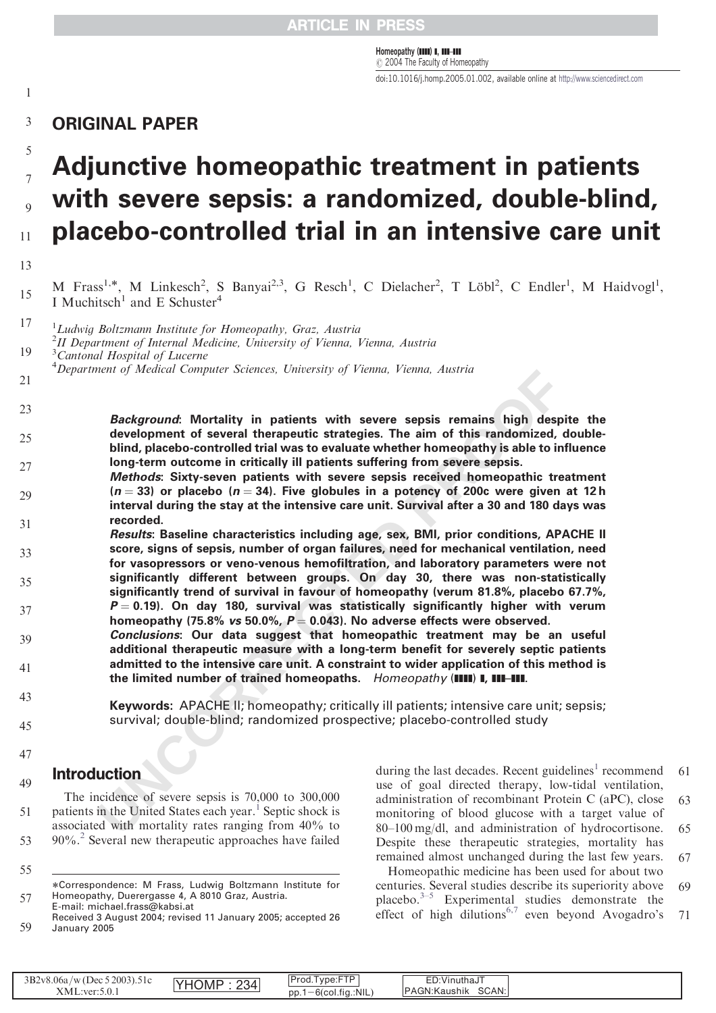Homeopathy (IIIII) I, IIII–III  $O$  2004 The Faculty of Homeopathy

doi:10.1016/j.homp.2005.01.002, available online at [http://www.sciencedirect.com](www.sciencedirect.com)

# 13579  $\mathfrak s$ **Adjunctive homeopathic treatment in patients**  $\overline{7}$ **with severe sepsis: a randomized, double-blind, placebo-controlled trial in an intensive care unit** 11

13

 $\mathbf{1}$ 

M Frass<sup>1,\*</sup>, M Linkesch<sup>2</sup>, S Banyai<sup>2,3</sup>, G Resch<sup>1</sup>, C Dielacher<sup>2</sup>, T Löbl<sup>2</sup>, C Endler<sup>1</sup>, M Haidvogl<sup>1</sup>, I Muchitsch<sup>1</sup> and E Schuster<sup>4</sup> 15

<sup>1</sup>Ludwig Boltzmann Institute for Homeopathy, Graz, Austria <sup>2</sup>II Department of Internal Medicine, University of Vienna, Vienna, Austria <sup>3</sup> Cantonal Hospital of Lucerne 17 19

<sup>4</sup>Department of Medical Computer Sciences, University of Vienna, Vienna, Austria

21

**Background: Mortality in patients with severe sepsis remains high despite the development of several therapeutic strategies. The aim of this randomized, doubleblind, placebo-controlled trial was to evaluate whether homeopathy is able to influence long-term outcome in critically ill patients suffering from severe sepsis.** 23  $25$  $27$ 

- **Methods: Sixty-seven patients with severe sepsis received homeopathic treatment**  $(n = 33)$  or placebo  $(n = 34)$ . Five globules in a potency of 200c were given at 12h **interval during the stay at the intensive care unit. Survival after a 30 and 180 days was recorded.** 29 31
- nent of Meateal Computer Sciences, Unterstity of Pienna, Pienna, Austria<br> **Background:** Mortality in patients with severe sepsis remains high desp<br>
development of several therapeutic strategies. The aim of this randomized, **Results: Baseline characteristics including age, sex, BMI, prior conditions, APACHE II score, signs of sepsis, number of organ failures, need for mechanical ventilation, need for vasopressors or veno-venous hemofiltration, and laboratory parameters were not significantly different between groups. On day 30, there was non-statistically significantly trend of survival in favour of homeopathy (verum 81.8%, placebo 67.7%,**  $P = 0.19$ ). On day 180, survival was statistically significantly higher with verum **homeopathy (75.8% vs 50.0%, P** ¼ **0.043). No adverse effects were observed.** 33 35 37
- **Conclusions: Our data suggest that homeopathic treatment may be an useful additional therapeutic measure with a long-term benefit for severely septic patients admitted to the intensive care unit. A constraint to wider application of this method is** the limited number of trained homeopaths. Homeopathy (IIII) **I, III-III**. 39 41
- 43

45

- **Keywords:** APACHE II; homeopathy; critically ill patients; intensive care unit; sepsis; survival; double-blind; randomized prospective; placebo-controlled study
- 47

49

55

# Introduction

The incidence of severe sepsis is 70,000 to 300,000 patients in the United States each year. <sup>1</sup> Septic shock is associated with mortality rates ranging from 40% to 90%. [2](#page-4-0) Several new therapeutic approaches have failed 51 53

during the last decades. Recent guidelines<sup>[1](#page-4-0)</sup> recommend use of goal directed therapy, low-tidal ventilation, administration of recombinant Protein C (aPC), close monitoring of blood glucose with a target value of 80–100 mg/dl, and administration of hydrocortisone. Despite these therapeutic strategies, mortality has remained almost unchanged during the last few years. 61 63 65 67

Homeopathic medicine has been used for about two centuries. Several studies describe its superiority above placebo. $3-5$  Experimental studies demonstrate the effect of high dilutions<sup>[6,7](#page-4-0)</sup> even beyond Avogadro's 69 71

| 3B2v8.06a<br>Prod.1<br>52003).51c<br>∵Vinutha∨∵<br>$\gamma$ /w (Dec)<br>234 <sub>1</sub><br>MP ال<br>' \/ l<br><b>*** **</b><br>SCAN:<br>IPAGN: Kaushik<br>$-6$ (col.fig.:NIL<br>DD.<br>$\cdots$<br>XML:<br>11.O.U |
|--------------------------------------------------------------------------------------------------------------------------------------------------------------------------------------------------------------------|
|--------------------------------------------------------------------------------------------------------------------------------------------------------------------------------------------------------------------|

<sup>57</sup> Correspondence: M Frass, Ludwig Boltzmann Institute for Homeopathy, Duerergasse 4, A 8010 Graz, Austria. E-mail: michael.frass@kabsi.at

<sup>59</sup> Received 3 August 2004; revised 11 January 2005; accepted 26 January 2005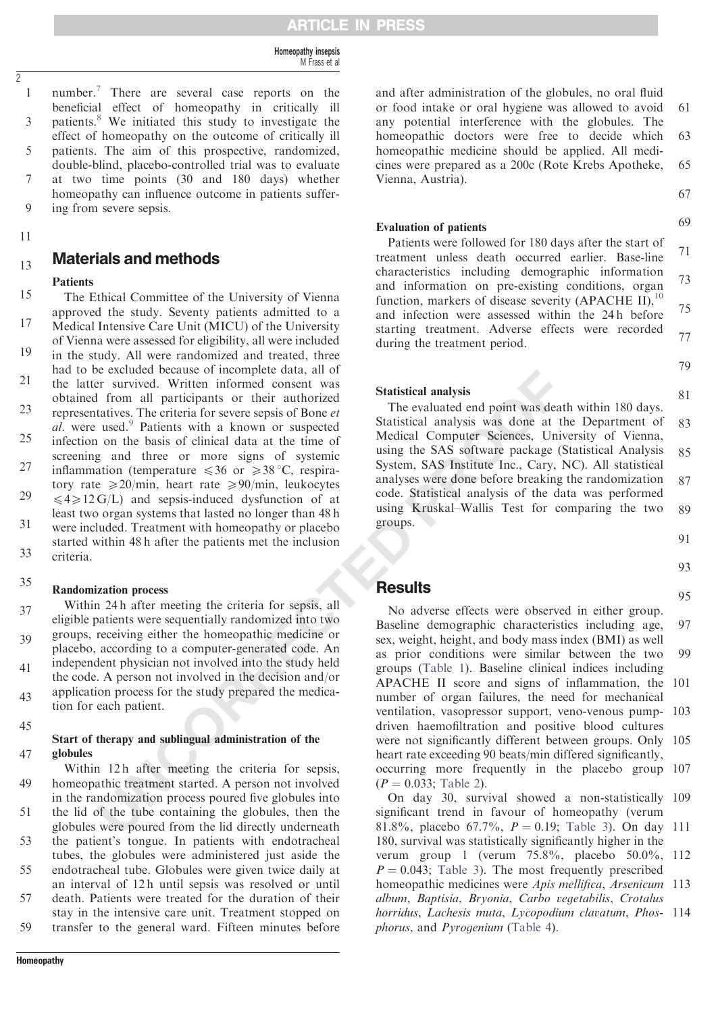Homeopathy insepsis M Frass et al

number.<sup>[7](#page-4-0)</sup> There are several case reports on the  $\mathbf{1}$ 13579 beneficial effect of homeopathy in critically ill patients. [8](#page-4-0) We initiated this study to investigate the 3 effect of homeopathy on the outcome of critically ill 5 patients. The aim of this prospective, randomized, double-blind, placebo-controlled trial was to evaluate at two time points (30 and 180 days) whether  $\overline{7}$ homeopathy can influence outcome in patients suffer- $\overline{Q}$ ing from severe sepsis.

11

2

#### Materials and methods 13

### **Patients**

The Ethical Committee of the University of Vienna approved the study. Seventy patients admitted to a 15 17

Medical Intensive Care Unit (MICU) of the University of Vienna were assessed for eligibility, all were included in the study. All were randomized and treated, three had to be excluded because of incomplete data, all of 19

the latter survived. Written informed consent was obtained from all participants or their authorized 21

representatives. The criteria for severe sepsis of Bone et al. were used.<sup>9</sup> Patients with a known or suspected infection on the basis of clinical data at the time of screening and three or more signs of systemic inflammation (temperature  $\leq 36$  or  $\geq 38$  °C, respira-23 25 27

tory rate  $\geq 20/\text{min}$ , heart rate  $\geq 90/\text{min}$ , leukocytes  $\leq 4 \geq 12$  G/L) and sepsis-induced dysfunction of at least two organ systems that lasted no longer than 48 h were included. Treatment with homeopathy or placebo 29 31

started within 48 h after the patients met the inclusion criteria. 33

#### Randomization process 35

Within 24 h after meeting the criteria for sepsis, all eligible patients were sequentially randomized into two groups, receiving either the homeopathic medicine or placebo, according to a computer-generated code. An independent physician not involved into the study held the code. A person not involved in the decision and/or 37 39 41

application process for the study prepared the medication for each patient. 43

45

#### Start of therapy and sublingual administration of the globules 47

Within 12h after meeting the criteria for sepsis, homeopathic treatment started. A person not involved in the randomization process poured five globules into the lid of the tube containing the globules, then the globules were poured from the lid directly underneath the patient's tongue. In patients with endotracheal tubes, the globules were administered just aside the endotracheal tube. Globules were given twice daily at an interval of 12 h until sepsis was resolved or until death. Patients were treated for the duration of their 49 51 53 55 57

stay in the intensive care unit. Treatment stopped on transfer to the general ward. Fifteen minutes before 59

and after administration of the globules, no oral fluid or food intake or oral hygiene was allowed to avoid any potential interference with the globules. The homeopathic doctors were free to decide which homeopathic medicine should be applied. All medicines were prepared as a 200c (Rote Krebs Apotheke, Vienna, Austria). 61 63 65

67

69

79

81

#### Evaluation of patients

Patients were followed for 180 days after the start of treatment unless death occurred earlier. Base-line characteristics including demographic information and information on pre-existing conditions, organ function, markers of disease severity (APACHE II),  $^{10}$  $^{10}$  $^{10}$ and infection were assessed within the 24 h before starting treatment. Adverse effects were recorded during the treatment period. 71 73 75 77

Statistical analysis

The evaluated end point was death within 180 days. Statistical analysis was done at the Department of Medical Computer Sciences, University of Vienna, using the SAS software package (Statistical Analysis System, SAS Institute Inc., Cary, NC). All statistical analyses were done before breaking the randomization code. Statistical analysis of the data was performed using Kruskal–Wallis Test for comparing the two groups. 83 85 87 89

91

93

95

### **Results**

e excluded because of momphie data, all of mall participants are externed because of the mall participants or their athorized because the statistical analysis and trional participants or their athroized SHatistical analys No adverse effects were observed in either group. Baseline demographic characteristics including age, sex, weight, height, and body mass index (BMI) as well as prior conditions were similar between the two groups (Table 1). Baseline clinical indices including APACHE II score and signs of inflammation, the 101 number of organ failures, the need for mechanical ventilation, vasopressor support, veno-venous pump-103 driven haemofiltration and positive blood cultures were not significantly different between groups. Only 105 heart rate exceeding 90 beats/min differed significantly, occurring more frequently in the placebo group 107  $(P = 0.033;$  Table 2). 97 99

On day 30, survival showed a non-statistically 109 significant trend in favour of homeopathy (verum 81.8%, placebo 67.7%,  $P = 0.19$ ; [Table 3](#page-3-0)). On day 111 180, survival was statistically significantly higher in the

verum group 1 (verum 75.8%, placebo 50.0%, 112  $P = 0.043$ ; [Table 3](#page-3-0)). The most frequently prescribed homeopathic medicines were Apis mellifica, Arsenicum 113 album, Baptisia, Bryonia, Carbo vegetabilis, Crotalus horridus, Lachesis muta, Lycopodium clavatum, Phos- 114 phorus, and Pyrogenium ([Table 4](#page-3-0)).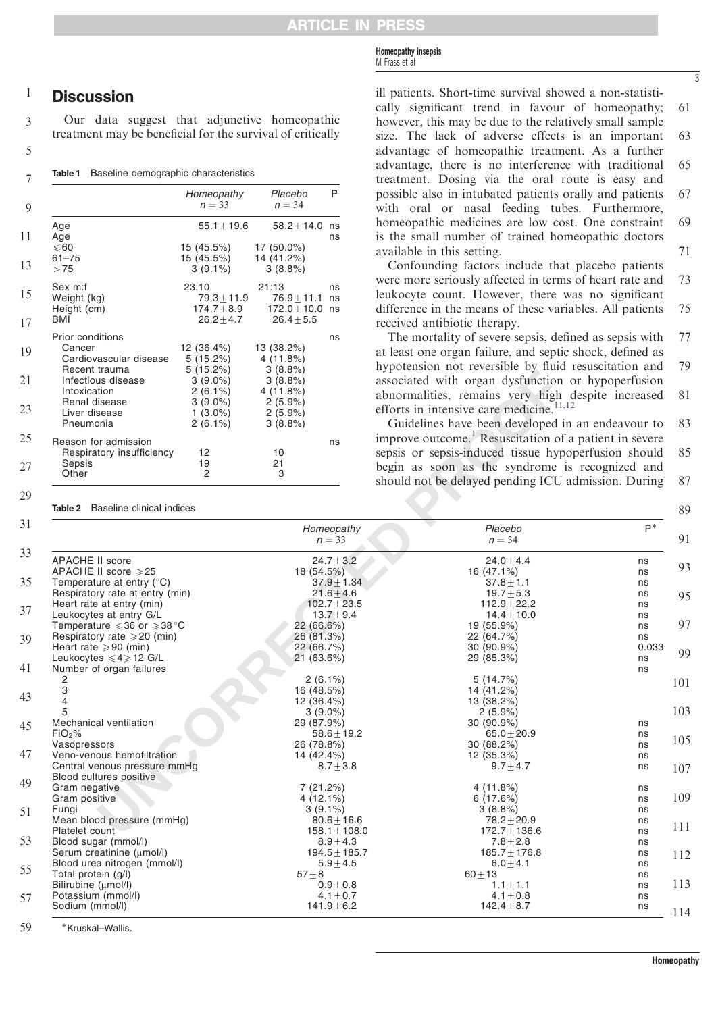Homeopathy insepsis M Frass et al

#### $\mathbf{1}$ **Discussion**

|  |  |  |  | <b>Table 1</b> Baseline demographic characteristics |
|--|--|--|--|-----------------------------------------------------|
|--|--|--|--|-----------------------------------------------------|

<span id="page-2-0"></span>

| Our data suggest that adjunctive homeopathic<br>treatment may be beneficial for the survival of critically |                                                             |                                                            |
|------------------------------------------------------------------------------------------------------------|-------------------------------------------------------------|------------------------------------------------------------|
| Baseline demographic characteristics<br>Table 1                                                            |                                                             |                                                            |
|                                                                                                            | Homeopathy<br>$n = 33$                                      | Placebo<br>$n = 34$                                        |
| Age<br>Age                                                                                                 | $55.1 + 19.6$                                               | $58.2 + 14.0$                                              |
| $\leqslant$ 60<br>$61 - 75$<br>>75                                                                         | 15 (45.5%)<br>15 (45.5%)<br>$3(9.1\%)$                      | 17 (50.0%)<br>14 (41.2%)<br>$3(8.8\%)$                     |
| Sex m:f<br>Weight (kg)<br>Height (cm)<br>BMI                                                               | 23:10<br>$79.3 \pm 11.9$<br>$174.7 \pm 8.9$<br>$26.2 + 4.7$ | 21:13<br>$76.9 + 11.1$<br>$172.0 \pm 10.0$<br>$26.4 + 5.5$ |
| <b>Prior conditions</b><br>Cancer<br>Cardiovascular disease                                                | 12 (36.4%)<br>$5(15.2\%)$                                   | 13 (38.2%)<br>4(11.8%)                                     |
| Recent trauma<br>Infectious disease<br>Intoxication                                                        | $5(15.2\%)$<br>$3(9.0\%)$<br>$2(6.1\%)$                     | 3(8.8%)<br>3(8.8%)<br>4(11.8%)                             |
| Renal disease<br>Liver disease<br>Pneumonia                                                                | $3(9.0\%)$<br>$1(3.0\%)$<br>$2(6.1\%)$                      | 2(5.9%)<br>$2(5.9\%)$<br>3(8.8%)                           |
| Reason for admission<br>Respiratory insufficiency                                                          | 12                                                          | 10                                                         |
| Sepsis<br>Other                                                                                            | 19<br>2                                                     | 21<br>3                                                    |

ill patients. Short-time survival showed a non-statistically significant trend in favour of homeopathy; however, this may be due to the relatively small sample size. The lack of adverse effects is an important advantage of homeopathic treatment. As a further advantage, there is no interference with traditional treatment. Dosing via the oral route is easy and possible also in intubated patients orally and patients with oral or nasal feeding tubes. Furthermore,

homeopathic medicines are low cost. One constraint is the small number of trained homeopathic doctors available in this setting. 69 71

61

3

63

65

67

Confounding factors include that placebo patients were more seriously affected in terms of heart rate and leukocyte count. However, there was no significant difference in the means of these variables. All patients received antibiotic therapy. 73 75

The mortality of severe sepsis, defined as sepsis with at least one organ failure, and septic shock, defined as hypotension not reversible by fluid resuscitation and associated with organ dysfunction or hypoperfusion abnormalities, remains very high despite increased efforts in intensive care medicine. $11,12$ 77 79 81

| Recent trauma<br>Infectious disease<br>Intoxication<br>Renal disease<br>Liver disease<br>Pneumonia | $5(15.2\%)$<br>$3(9.0\%)$<br>$2(6.1\%)$<br>$3(9.0\%)$<br>$1(3.0\%)$<br>$2(6.1\%)$ | $3(8.8\%)$<br>3(8.8%)<br>4(11.8%)<br>2(5.9%)<br>$2(5.9\%)$<br>3(8.8%) | hypotension not reversion by huid resuscitation and<br>associated with organ dysfunction or hypoperfusion<br>abnormalities, remains very high despite increased<br>efforts in intensive care medicine. $11,12$<br>Guidelines have been developed in an endeavour to | 81<br>83    |
|----------------------------------------------------------------------------------------------------|-----------------------------------------------------------------------------------|-----------------------------------------------------------------------|---------------------------------------------------------------------------------------------------------------------------------------------------------------------------------------------------------------------------------------------------------------------|-------------|
| Reason for admission<br>Respiratory insufficiency                                                  | 12                                                                                | ns<br>10                                                              | improve outcome. <sup>1</sup> Resuscitation of a patient in severe<br>sepsis or sepsis-induced tissue hypoperfusion should                                                                                                                                          | 85          |
| Sepsis<br>Other                                                                                    | 19<br>2                                                                           | 21<br>3                                                               | begin as soon as the syndrome is recognized and<br>should not be delayed pending ICU admission. During                                                                                                                                                              | 87          |
| Table 2 Baseline clinical indices                                                                  |                                                                                   |                                                                       |                                                                                                                                                                                                                                                                     | 89          |
|                                                                                                    |                                                                                   | Homeopathy<br>$n = 33$                                                | Placebo<br>$n = 34$                                                                                                                                                                                                                                                 | $P^*$<br>91 |
| <b>APACHE II score</b>                                                                             |                                                                                   | $24.7 + 3.2$                                                          | $24.0 + 4.4$                                                                                                                                                                                                                                                        | ns<br>93    |
| APACHE II score ≥25                                                                                |                                                                                   | 18 (54.5%)                                                            | 16 (47.1%)                                                                                                                                                                                                                                                          | ns          |
| Temperature at entry $(^{\circ}C)$                                                                 |                                                                                   | $37.9 + 1.34$                                                         | $37.8 + 1.1$                                                                                                                                                                                                                                                        | ns          |
| Respiratory rate at entry (min)                                                                    |                                                                                   | $21.6 + 4.6$                                                          | $19.7 + 5.3$                                                                                                                                                                                                                                                        | ns<br>95    |
| Heart rate at entry (min)<br>Leukocytes at entry G/L                                               |                                                                                   | $102.7 + 23.5$<br>$13.7 + 9.4$                                        | $112.9 + 22.2$<br>$14.4 + 10.0$                                                                                                                                                                                                                                     | ns          |
| Temperature $\leqslant$ 36 or $\geqslant$ 38 °C                                                    |                                                                                   | 22 (66.6%)                                                            | 19 (55.9%)                                                                                                                                                                                                                                                          | ns<br>97    |
| Respiratory rate $\geqslant$ 20 (min)                                                              |                                                                                   | 26 (81.3%)                                                            | 22 (64.7%)                                                                                                                                                                                                                                                          | ns<br>ns    |
| Heart rate $\geqslant$ 90 (min)                                                                    |                                                                                   | 22 (66.7%)                                                            | 30 (90.9%)                                                                                                                                                                                                                                                          | 0.033       |
| Leukocytes $\leq 4 \geq 12$ G/L                                                                    |                                                                                   | 21(63.6%)                                                             | 29 (85.3%)                                                                                                                                                                                                                                                          | 99<br>ns    |
| Number of organ failures                                                                           |                                                                                   |                                                                       |                                                                                                                                                                                                                                                                     | ns          |
| $\overline{c}$                                                                                     |                                                                                   | $2(6.1\%)$                                                            | 5(14.7%)                                                                                                                                                                                                                                                            |             |
| 3                                                                                                  |                                                                                   | 16 (48.5%)                                                            | 14 (41.2%)                                                                                                                                                                                                                                                          | 101         |
| $\overline{\mathbf{A}}$                                                                            |                                                                                   | 12 (36.4%)                                                            | 13 (38.2%)                                                                                                                                                                                                                                                          |             |
| 5                                                                                                  |                                                                                   | $3(9.0\%)$                                                            | 2(5.9%)                                                                                                                                                                                                                                                             | 103         |
| Mechanical ventilation                                                                             |                                                                                   | 29 (87.9%)                                                            | 30 (90.9%)                                                                                                                                                                                                                                                          | ns          |
| FiO <sub>2</sub> %                                                                                 |                                                                                   | $58.6 + 19.2$                                                         | $65.0 \pm 20.9$                                                                                                                                                                                                                                                     | ns          |
| Vasopressors                                                                                       |                                                                                   | 26 (78.8%)                                                            | 30 (88.2%)                                                                                                                                                                                                                                                          | 105<br>ns   |
| Veno-venous hemofiltration                                                                         |                                                                                   | 14 (42.4%)                                                            | 12 (35.3%)                                                                                                                                                                                                                                                          | ns          |
| Central venous pressure mmHg                                                                       |                                                                                   | $8.7 + 3.8$                                                           | $9.7 + 4.7$                                                                                                                                                                                                                                                         | ns          |
| Blood cultures positive                                                                            |                                                                                   |                                                                       |                                                                                                                                                                                                                                                                     | 107         |
| Gram negative                                                                                      |                                                                                   | 7(21.2%)                                                              | 4(11.8%)                                                                                                                                                                                                                                                            | ns          |
| Gram positive                                                                                      |                                                                                   | $4(12.1\%)$                                                           | 6(17.6%)                                                                                                                                                                                                                                                            | 109<br>ns   |
| Fungi                                                                                              |                                                                                   | $3(9.1\%)$                                                            | 3(8.8%)                                                                                                                                                                                                                                                             | ns          |
| Mean blood pressure (mmHg)                                                                         |                                                                                   | $80.6 + 16.6$                                                         | $78.2 \pm 20.9$                                                                                                                                                                                                                                                     | ns          |
| Platelet count                                                                                     |                                                                                   | $158.1 \pm 108.0$                                                     | $172.7 \pm 136.6$                                                                                                                                                                                                                                                   | 111<br>ns   |
| Blood sugar (mmol/l)                                                                               |                                                                                   | $8.9 + 4.3$                                                           | $7.8 + 2.8$                                                                                                                                                                                                                                                         | ns          |
| Serum creatinine (µmol/l)                                                                          |                                                                                   | $194.5 \pm 185.7$                                                     | $185.7 \pm 176.8$                                                                                                                                                                                                                                                   | ns<br>112   |
| Blood urea nitrogen (mmol/l)                                                                       |                                                                                   | $5.9 + 4.5$                                                           | $6.0 + 4.1$                                                                                                                                                                                                                                                         | ns          |
| Total protein (g/l)                                                                                |                                                                                   | $57 + 8$                                                              | $60 + 13$                                                                                                                                                                                                                                                           | ns          |
| Bilirubine (µmol/l)                                                                                |                                                                                   | $0.9 + 0.8$                                                           | $1.1 + 1.1$                                                                                                                                                                                                                                                         | 113<br>ns   |
|                                                                                                    |                                                                                   |                                                                       |                                                                                                                                                                                                                                                                     |             |
| Potassium (mmol/l)<br>Sodium (mmol/l)                                                              |                                                                                   | 4.1 $\pm$ 0.7<br>$141.9 + 6.2$                                        | 4.1 $\pm$ 0.8<br>$142.4 \pm 8.7$                                                                                                                                                                                                                                    | ns          |

59 Kruskal–Wallis.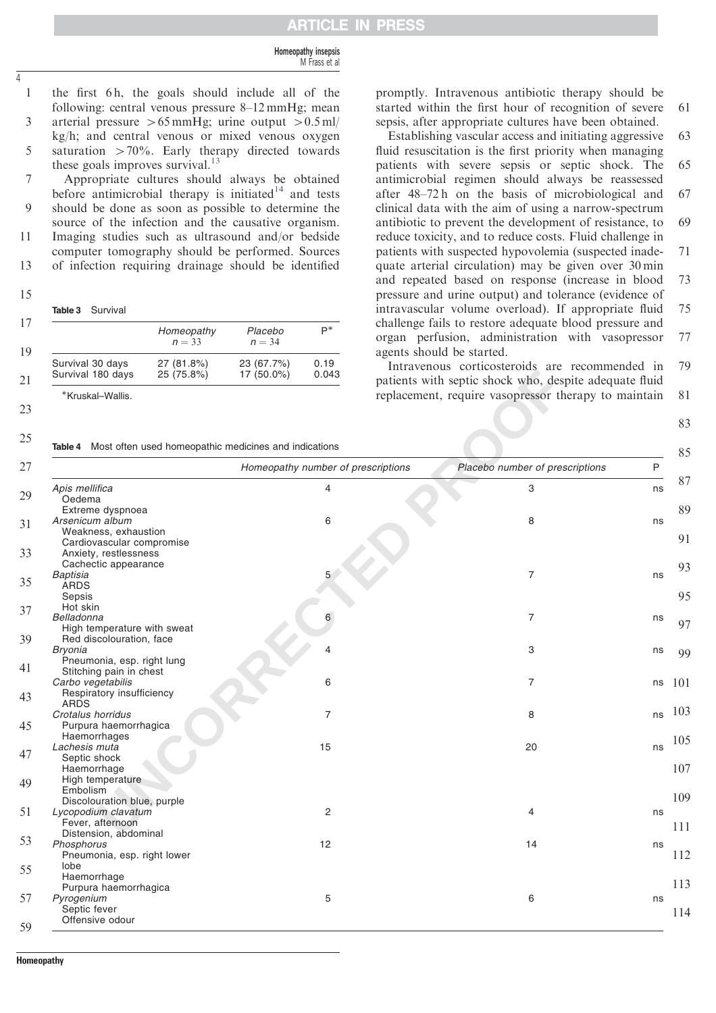#### Homeopathy insepsis M Frass et al

1 13579 the first 6 h, the goals should include all of the following: central venous pressure 8–12 mmHg; mean 3 arterial pressure  $>65 \text{ mmHg}$ ; urine output  $>0.5 \text{ ml}$ / kg/h; and central venous or mixed venous oxygen 5 saturation  $>70\%$ . Early therapy directed towards these goals improves survival. $^{13}$  $^{13}$  $^{13}$ 

 $\overline{7}$ Appropriate cultures should always be obtained before antimicrobial therapy is initiated<sup>[14](#page-4-0)</sup> and tests  $\overline{Q}$ should be done as soon as possible to determine the source of the infection and the causative organism. 11 Imaging studies such as ultrasound and/or bedside computer tomography should be performed. Sources

of infection requiring drainage should be identified 13

15

<span id="page-3-0"></span> $\overline{1}$ 

| Table 3 | Survival |
|---------|----------|
|---------|----------|

|                   | Homeopathy<br>$n = 33$ | Placebo<br>$n = 34$ | $\mathsf{P}^*$ |
|-------------------|------------------------|---------------------|----------------|
| Survival 30 days  | 27 (81.8%)             | 23 (67.7%)          | 0.19           |
| Survival 180 days | 25 (75.8%)             | 17 (50.0%)          | 0.043          |

23 25

promptly. Intravenous antibiotic therapy should be started within the first hour of recognition of severe sepsis, after appropriate cultures have been obtained. 61

Establishing vascular access and initiating aggressive fluid resuscitation is the first priority when managing patients with severe sepsis or septic shock. The antimicrobial regimen should always be reassessed after 48–72 h on the basis of microbiological and clinical data with the aim of using a narrow-spectrum antibiotic to prevent the development of resistance, to reduce toxicity, and to reduce costs. Fluid challenge in patients with suspected hypovolemia (suspected inadequate arterial circulation) may be given over 30 min and repeated based on response (increase in blood pressure and urine output) and tolerance (evidence of intravascular volume overload). If appropriate fluid challenge fails to restore adequate blood pressure and organ perfusion, administration with vasopressor agents should be started. 63 65 67 69 71 73 75 77

Intravenous corticosteroids are recommended in patients with septic shock who, despite adequate fluid replacement, require vasopressor therapy to maintain 79 81

83

| Survival 180 days<br>25 (75.8%)                               | $17(50.0\%)$<br>0.043              | patients with septic shock who, despite adequate fluid |    |
|---------------------------------------------------------------|------------------------------------|--------------------------------------------------------|----|
| *Kruskal-Wallis.                                              |                                    | replacement, require vasopressor therapy to maintain   |    |
| Table 4 Most often used homeopathic medicines and indications |                                    |                                                        |    |
|                                                               | Homeopathy number of prescriptions | Placebo number of prescriptions                        | P  |
| Apis mellifica                                                | 4                                  | 3                                                      | ns |
| Oedema                                                        |                                    |                                                        |    |
| Extreme dyspnoea                                              |                                    |                                                        |    |
| Arsenicum album                                               | 6                                  | 8                                                      | ns |
| Weakness, exhaustion                                          |                                    |                                                        |    |
| Cardiovascular compromise                                     |                                    |                                                        |    |
| Anxiety, restlessness                                         |                                    |                                                        |    |
| Cachectic appearance                                          |                                    |                                                        |    |
| <b>Baptisia</b>                                               | 5                                  | $\overline{7}$                                         | ns |
| <b>ARDS</b>                                                   |                                    |                                                        |    |
| Sepsis                                                        |                                    |                                                        |    |
| Hot skin                                                      |                                    |                                                        |    |
| Belladonna                                                    | 6                                  | 7                                                      | ns |
| High temperature with sweat                                   |                                    |                                                        |    |
| Red discolouration, face                                      |                                    |                                                        |    |
| <b>Bryonia</b>                                                |                                    | 3                                                      | ns |
| Pneumonia, esp. right lung                                    |                                    |                                                        |    |
| Stitching pain in chest                                       |                                    |                                                        |    |
| Carbo vegetabilis                                             | 6                                  | 7                                                      | ns |
| Respiratory insufficiency                                     |                                    |                                                        |    |
| <b>ARDS</b>                                                   |                                    |                                                        |    |
| Crotalus horridus                                             | $\overline{7}$                     | 8                                                      | ns |
| Purpura haemorrhagica                                         |                                    |                                                        |    |
| Haemorrhages                                                  |                                    |                                                        |    |
| Lachesis muta                                                 | 15                                 | 20                                                     | ns |
| Septic shock                                                  |                                    |                                                        |    |
| Haemorrhage                                                   |                                    |                                                        |    |
| High temperature                                              |                                    |                                                        |    |
| Embolism                                                      |                                    |                                                        |    |
| Discolouration blue, purple                                   |                                    |                                                        |    |
| Lycopodium clavatum                                           | $\overline{c}$                     | 4                                                      | ns |
| Fever, afternoon                                              |                                    |                                                        |    |
| Distension, abdominal                                         |                                    |                                                        |    |
| Phosphorus                                                    | 12                                 | 14                                                     | ns |
| Pneumonia, esp. right lower                                   |                                    |                                                        |    |
| lobe                                                          |                                    |                                                        |    |
| Haemorrhage                                                   |                                    |                                                        |    |
| Purpura haemorrhagica                                         |                                    |                                                        |    |
| Pyrogenium                                                    | 5                                  | 6                                                      | ns |
| Septic fever                                                  |                                    |                                                        |    |
| Offensive odour                                               |                                    |                                                        |    |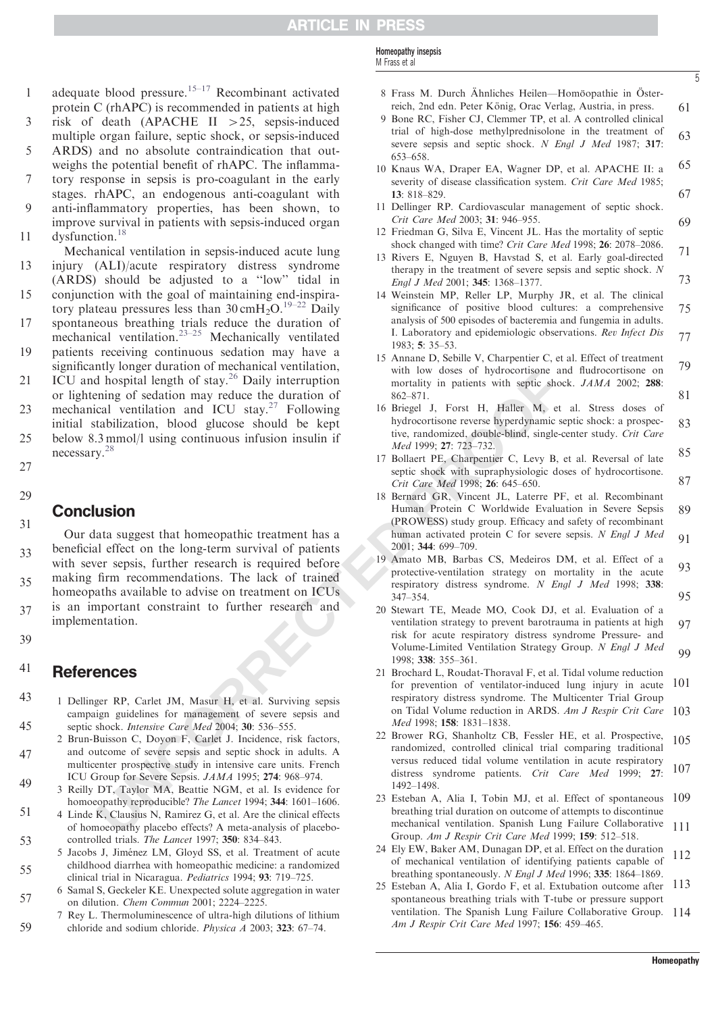<span id="page-4-0"></span>adequate blood pressure.<sup>15–17</sup> Recombinant activated  $\mathbf{1}$ protein C (rhAPC) is recommended in patients at high

- 3 risk of death (APACHE II  $>25$ , sepsis-induced multiple organ failure, septic shock, or sepsis-induced
- 5 ARDS) and no absolute contraindication that outweighs the potential benefit of rhAPC. The inflamma-
- tory response in sepsis is pro-coagulant in the early stages. rhAPC, an endogenous anti-coagulant with anti-inflammatory properties, has been shown, to 13579
- improve survival in patients with sepsis-induced organ dysfunction.<sup>18</sup> 11
- Mechanical ventilation in sepsis-induced acute lung injury (ALI)/acute respiratory distress syndrome (ARDS) should be adjusted to a ''low'' tidal in 13
- conjunction with the goal of maintaining end-inspiratory plateau pressures less than  $30 \text{ cm} +_{2}O$ .<sup>19–22</sup> Daily 15
- spontaneous breathing trials reduce the duration of mechanical ventilation.<sup>23–25</sup> Mechanically ventilated 17
- patients receiving continuous sedation may have a significantly longer duration of mechanical ventilation, ICU and hospital length of stay. $26$  Daily interruption 19
- or lightening of sedation may reduce the duration of mechanical ventilation and ICU stay. $27$  Following initial stabilization, blood glucose should be kept below 8.3 mmol/l using continuous infusion insulin if necessary.<sup>28</sup> 21 23 25
- 29

27

# **Conclusion**

Moy consider the duration of the state of the consistence and specifical tend and reduction and TCU stay.<sup>27</sup> Daily interruption<br>
anothely in putients with species by the section of the duration of the duration of the dura Our data suggest that homeopathic treatment has a beneficial effect on the long-term survival of patients with sever sepsis, further research is required before making firm recommendations. The lack of trained homeopaths available to advise on treatment on ICUs is an important constraint to further research and implementation. 31 33 35 37

39

#### References 41

- 1 Dellinger RP, Carlet JM, Masur H, et al. Surviving sepsis campaign guidelines for management of severe sepsis and septic shock. Intensive Care Med 2004; 30: 536–555. 43 45
- 2 Brun-Buisson C, Doyon F, Carlet J. Incidence, risk factors, and outcome of severe sepsis and septic shock in adults. A multicenter prospective study in intensive care units. French ICU Group for Severe Sepsis. JAMA 1995; 274: 968–974. 47
- 3 Reilly DT, Taylor MA, Beattie NGM, et al. Is evidence for homoeopathy reproducible? The Lancet 1994; 344: 1601–1606. 49
- 4 Linde K, Clausius N, Ramirez G, et al. Are the clinical effects of homoeopathy placebo effects? A meta-analysis of placebocontrolled trials. The Lancet 1997; 350: 834–843. 51 53
- 5 Jacobs J, Jiménez LM, Gloyd SS, et al. Treatment of acute childhood diarrhea with homeopathic medicine: a randomized clinical trial in Nicaragua. Pediatrics 1994; 93: 719–725. 55
- 6 Samal S, Geckeler KE. Unexpected solute aggregation in water on dilution. Chem Commun 2001; 2224–2225. 57
- 7 Rey L. Thermoluminescence of ultra-high dilutions of lithium chloride and sodium chloride. Physica A 2003; 323: 67–74. 59
- Homeopathy insepsis M Frass et al
- 8 Frass M. Durch Ähnliches Heilen—Homöopathie in Österreich, 2nd edn. Peter König, Orac Verlag, Austria, in press.

5

- 9 Bone RC, Fisher CJ, Clemmer TP, et al. A controlled clinical trial of high-dose methylprednisolone in the treatment of severe sepsis and septic shock. N Engl J Med 1987; 317: 653–658. 61 63
- 10 Knaus WA, Draper EA, Wagner DP, et al. APACHE II: a severity of disease classification system. Crit Care Med 1985: 13: 818–829. 65 67
- 11 Dellinger RP. Cardiovascular management of septic shock. Crit Care Med 2003; 31: 946–955. 69
- 12 Friedman G, Silva E, Vincent JL. Has the mortality of septic shock changed with time? Crit Care Med 1998; 26: 2078–2086.
- 13 Rivers E, Nguyen B, Havstad S, et al. Early goal-directed therapy in the treatment of severe sepsis and septic shock. N Engl J Med 2001; 345: 1368–1377. 71 73
- 14 Weinstein MP, Reller LP, Murphy JR, et al. The clinical significance of positive blood cultures: a comprehensive analysis of 500 episodes of bacteremia and fungemia in adults. I. Laboratory and epidemiologic observations. Rev Infect Dis 1983; 5: 35–53. 75 77
- 15 Annane D, Sebille V, Charpentier C, et al. Effect of treatment with low doses of hydrocortisone and fludrocortisone on mortality in patients with septic shock. JAMA 2002; 288: 862–871. 79 81
- 16 Briegel J, Forst H, Haller M, et al. Stress doses of hydrocortisone reverse hyperdynamic septic shock: a prospective, randomized, double-blind, single-center study. Crit Care Med 1999; 27: 723–732. 83
- 17 Bollaert PE, Charpentier C, Levy B, et al. Reversal of late septic shock with supraphysiologic doses of hydrocortisone. Crit Care Med 1998; 26: 645–650. 85 87
- 18 Bernard GR, Vincent JL, Laterre PF, et al. Recombinant Human Protein C Worldwide Evaluation in Severe Sepsis (PROWESS) study group. Efficacy and safety of recombinant human activated protein C for severe sepsis. N Engl J Med 2001; 344: 699–709. 89 91
- 19 Amato MB, Barbas CS, Medeiros DM, et al. Effect of a protective-ventilation strategy on mortality in the acute respiratory distress syndrome. N Engl J Med 1998; 338: 347–354. 93 95
- 20 Stewart TE, Meade MO, Cook DJ, et al. Evaluation of a ventilation strategy to prevent barotrauma in patients at high risk for acute respiratory distress syndrome Pressure- and Volume-Limited Ventilation Strategy Group. N Engl J Med 1998; 338: 355–361. 97 99
- 21 Brochard L, Roudat-Thoraval F, et al. Tidal volume reduction for prevention of ventilator-induced lung injury in acute respiratory distress syndrome. The Multicenter Trial Group on Tidal Volume reduction in ARDS. Am J Respir Crit Care 103 Med 1998; 158: 1831–1838. 101
- 22 Brower RG, Shanholtz CB, Fessler HE, et al. Prospective, randomized, controlled clinical trial comparing traditional versus reduced tidal volume ventilation in acute respiratory distress syndrome patients. Crit Care Med 1999; 27: 1492–1498. 105 107
- 23 Esteban A, Alia I, Tobin MJ, et al. Effect of spontaneous breathing trial duration on outcome of attempts to discontinue mechanical ventilation. Spanish Lung Failure Collaborative Group. Am J Respir Crit Care Med 1999; 159: 512–518. 109 111
- 24 Ely EW, Baker AM, Dunagan DP, et al. Effect on the duration of mechanical ventilation of identifying patients capable of breathing spontaneously. N Engl J Med 1996; 335: 1864–1869. 112
- 25 Esteban A, Alia I, Gordo F, et al. Extubation outcome after 113 spontaneous breathing trials with T-tube or pressure support ventilation. The Spanish Lung Failure Collaborative Group. 114 Am J Respir Crit Care Med 1997; 156: 459–465.